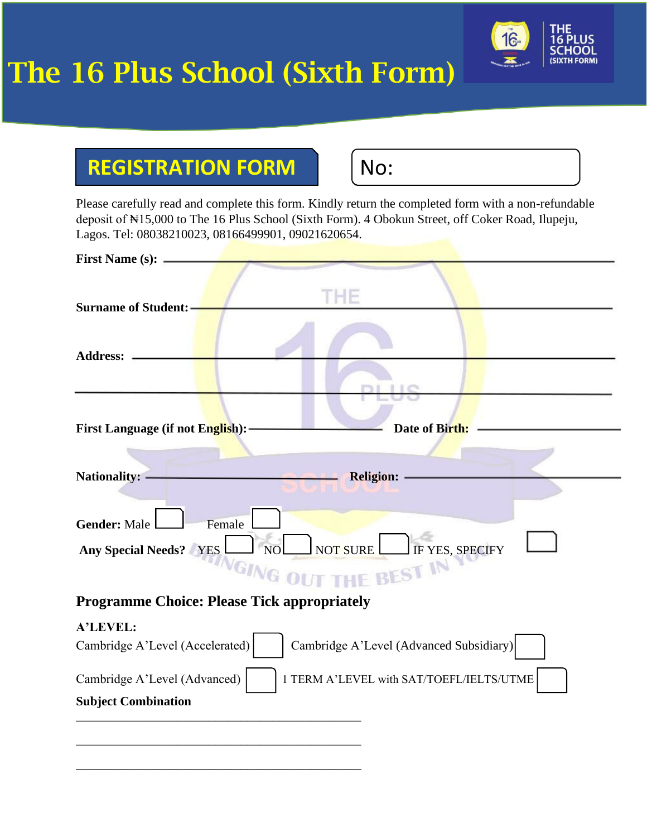## The 16 Plus School (Sixth Form)



## **REGISTRATION FORM | | No:**

\_\_\_\_\_\_\_\_\_\_\_\_\_\_\_\_\_\_\_\_\_\_\_\_\_\_\_\_\_\_\_\_\_\_\_\_\_\_\_\_\_\_\_\_\_

Please carefully read and complete this form. Kindly return the completed form with a non-refundable deposit of ₦15,000 to The 16 Plus School (Sixth Form). 4 Obokun Street, off Coker Road, Ilupeju, Lagos. Tel: 08038210023, 08166499901, 09021620654.

| <b>First Name (s):</b>                                                                                               |
|----------------------------------------------------------------------------------------------------------------------|
| HF<br><b>Surname of Student:</b>                                                                                     |
| <b>Address:</b>                                                                                                      |
| First Language (if not English): -<br>Date of Birth:                                                                 |
| Nationality: -<br><b>Religion:</b>                                                                                   |
| <b>Gender: Male</b><br>Female<br>NOL NOT SURE FYES, SPECIFY<br><b>Any Special Needs?</b> YES<br>GING OUT THE BEST IN |
| <b>Programme Choice: Please Tick appropriately</b>                                                                   |
| A'LEVEL:<br>Cambridge A'Level (Advanced Subsidiary)<br>Cambridge A'Level (Accelerated)                               |
| 1 TERM A'LEVEL with SAT/TOEFL/IELTS/UTME<br>Cambridge A'Level (Advanced)<br><b>Subject Combination</b>               |
|                                                                                                                      |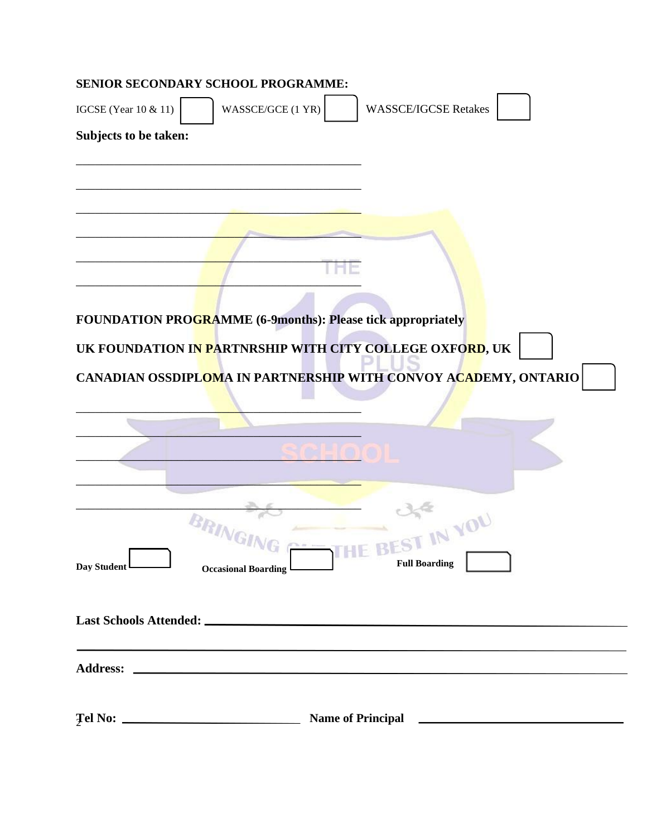|                             | SENIOR SECONDARY SCHOOL PROGRAMME:                                                                                     |                                                                 |
|-----------------------------|------------------------------------------------------------------------------------------------------------------------|-----------------------------------------------------------------|
| <b>IGCSE</b> (Year 10 & 11) | WASSCE/GCE (1 YR)                                                                                                      | <b>WASSCE/IGCSE Retakes</b>                                     |
| Subjects to be taken:       |                                                                                                                        |                                                                 |
|                             |                                                                                                                        |                                                                 |
|                             |                                                                                                                        |                                                                 |
|                             |                                                                                                                        |                                                                 |
|                             |                                                                                                                        |                                                                 |
|                             |                                                                                                                        |                                                                 |
|                             | <b>FOUNDATION PROGRAMME (6-9months): Please tick appropriately</b>                                                     |                                                                 |
|                             | UK FOUNDATION I <mark>N PA</mark> RTNRSHIP WITH CITY COLLEGE OXFO <mark>RD</mark> , UK                                 |                                                                 |
|                             |                                                                                                                        | CANADIAN OSSDIPLOMA IN PARTNERSHIP WITH CONVOY ACADEMY, ONTARIO |
|                             |                                                                                                                        |                                                                 |
|                             |                                                                                                                        |                                                                 |
|                             |                                                                                                                        |                                                                 |
|                             |                                                                                                                        |                                                                 |
|                             | BRINGIN                                                                                                                | EST IN YOU                                                      |
| Day Student L               | <b>Occasional Boarding</b>                                                                                             | <b>ALLEN AND</b><br><b>Full Boarding</b>                        |
|                             |                                                                                                                        |                                                                 |
|                             |                                                                                                                        |                                                                 |
|                             | <u> 1989 - Johann John Stein, mars et al. 1989 - John Stein, mars et al. 1989 - John Stein, mars et al. 1989 - Joh</u> |                                                                 |
|                             |                                                                                                                        |                                                                 |
|                             |                                                                                                                        |                                                                 |
|                             |                                                                                                                        | <b>Name of Principal</b>                                        |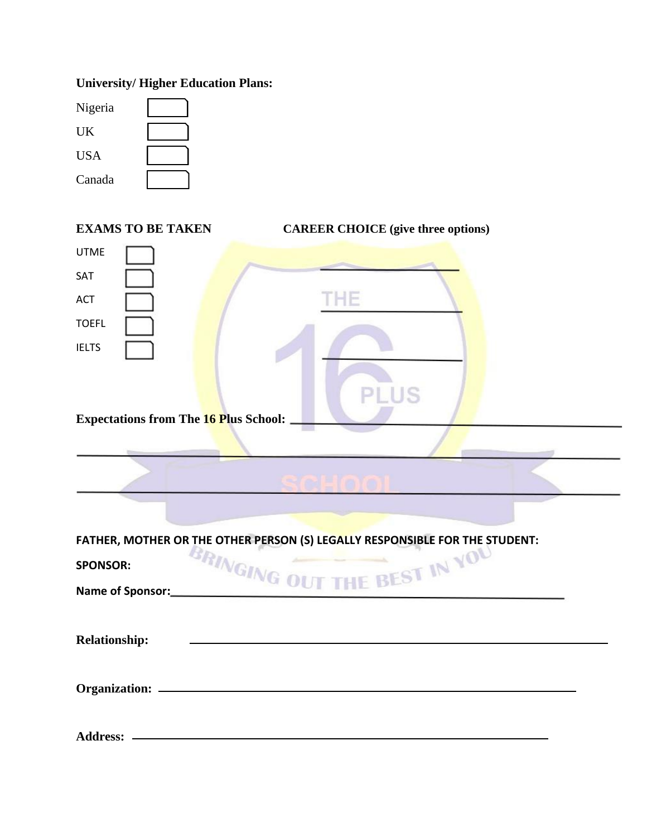## **University/ Higher Education Plans:**

| Nigeria    |  |
|------------|--|
| UK         |  |
| <b>USA</b> |  |
| Canada     |  |

| <b>EXAMS TO BE TAKEN</b>                        | <b>CAREER CHOICE</b> (give three options)                                                                   |
|-------------------------------------------------|-------------------------------------------------------------------------------------------------------------|
| <b>UTME</b><br>SAT<br><b>ACT</b>                | THE                                                                                                         |
| <b>TOEFL</b><br><b>IELTS</b>                    |                                                                                                             |
| <b>Expectations from The 16 Plus School: _</b>  | PLUS                                                                                                        |
|                                                 | <b>BALLA</b> OI                                                                                             |
| <b>SPONSOR:</b><br>Name of Sponsor:<br><u> </u> | FATHER, MOTHER OR THE OTHER PERSON (S) LEGALLY RESPONSIBLE FOR THE STUDENT:<br>BRINGING OUT THE BEST IN YOU |
| <b>Relationship:</b>                            |                                                                                                             |
|                                                 |                                                                                                             |
|                                                 |                                                                                                             |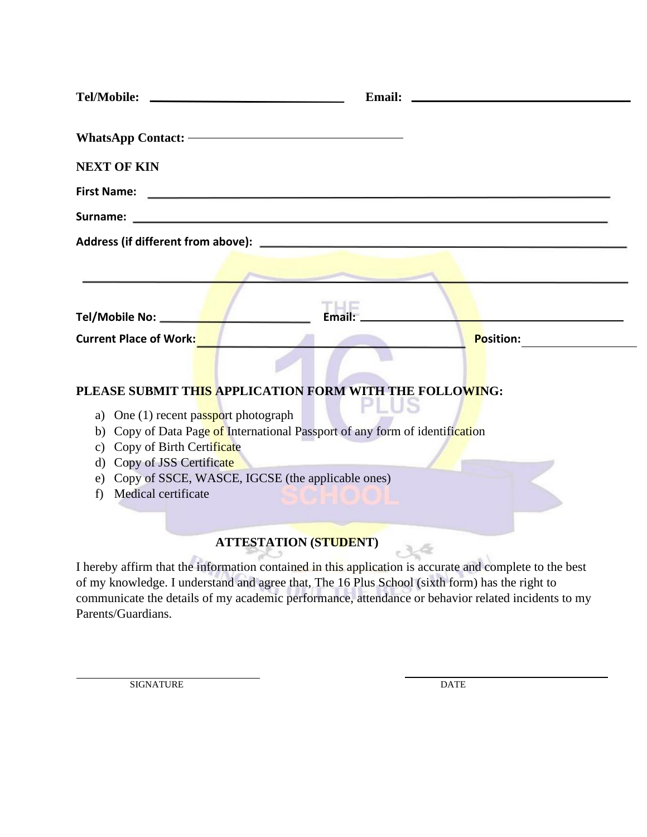| <b>Tel/Mobile:</b>                    | Email:<br><u> 1989 - Johann Harry Harry Harry Harry Harry Harry Harry Harry Harry Harry Harry Harry Harry Harry Harry Harry</u> |
|---------------------------------------|---------------------------------------------------------------------------------------------------------------------------------|
|                                       |                                                                                                                                 |
| <b>NEXT OF KIN</b>                    |                                                                                                                                 |
| <b>First Name:</b>                    |                                                                                                                                 |
| Surname:                              | <u> 1989 - Johann Stoff, deutscher Stoffen und der Stoffen und der Stoffen und der Stoffen und der Stoffen und der</u>          |
| Address (if different from above):    | <u> 1980 - Andrea Britain, amerikan personal (h. 1980).</u>                                                                     |
|                                       |                                                                                                                                 |
|                                       |                                                                                                                                 |
| Tel/Mobile No: ______                 | Email:                                                                                                                          |
| <b>Current Place of Work:</b>         | <b>Position:</b>                                                                                                                |
|                                       |                                                                                                                                 |
|                                       | PLEASE SUBMIT THIS APPLICATION FORM WITH THE FOLLOWING:                                                                         |
| a) One (1) recent passport photograph |                                                                                                                                 |
|                                       | b) Copy of Data Page of International Passport of any form of identification                                                    |
| c) Copy of Birth Certificate          |                                                                                                                                 |
| d) Copy of JSS Certificate            |                                                                                                                                 |
|                                       | e) Copy of SSCE, WASCE, IGCSE (the applicable ones)                                                                             |
| Medical certificate<br>f)             |                                                                                                                                 |
|                                       |                                                                                                                                 |
|                                       | <b>ATTESTATION (STUDENT)</b>                                                                                                    |
|                                       |                                                                                                                                 |
|                                       | I hereby affirm that the information contained in this application is accurate and complete to the best                         |
|                                       | of my knowledge. I understand and agree that, The 16 Plus School (sixth form) has the right to                                  |
|                                       | communicate the details of my academic performance, attendance or behavior related incidents to my                              |

Parents/Guardians.

SIGNATURE DATE